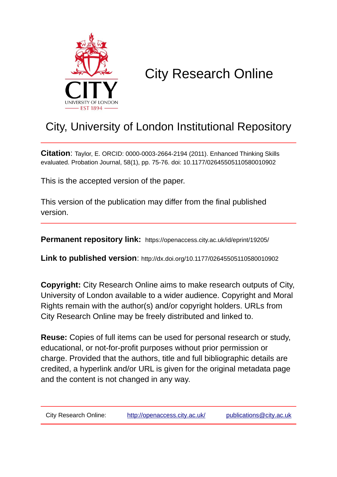

## City Research Online

## City, University of London Institutional Repository

**Citation**: Taylor, E. ORCID: 0000-0003-2664-2194 (2011). Enhanced Thinking Skills evaluated. Probation Journal, 58(1), pp. 75-76. doi: 10.1177/02645505110580010902

This is the accepted version of the paper.

This version of the publication may differ from the final published version.

**Permanent repository link:** https://openaccess.city.ac.uk/id/eprint/19205/

**Link to published version**: http://dx.doi.org/10.1177/02645505110580010902

**Copyright:** City Research Online aims to make research outputs of City, University of London available to a wider audience. Copyright and Moral Rights remain with the author(s) and/or copyright holders. URLs from City Research Online may be freely distributed and linked to.

**Reuse:** Copies of full items can be used for personal research or study, educational, or not-for-profit purposes without prior permission or charge. Provided that the authors, title and full bibliographic details are credited, a hyperlink and/or URL is given for the original metadata page and the content is not changed in any way.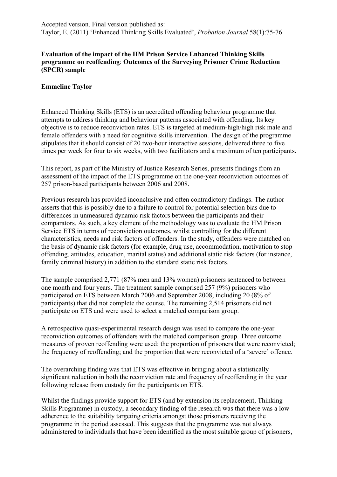## **Evaluation of the impact of the HM Prison Service Enhanced Thinking Skills programme on reoffending**: **Outcomes of the Surveying Prisoner Crime Reduction (SPCR) sample**

## **Emmeline Taylor**

Enhanced Thinking Skills (ETS) is an accredited offending behaviour programme that attempts to address thinking and behaviour patterns associated with offending. Its key objective is to reduce reconviction rates. ETS is targeted at medium-high/high risk male and female offenders with a need for cognitive skills intervention. The design of the programme stipulates that it should consist of 20 two-hour interactive sessions, delivered three to five times per week for four to six weeks, with two facilitators and a maximum of ten participants.

This report, as part of the Ministry of Justice Research Series, presents findings from an assessment of the impact of the ETS programme on the one-year reconviction outcomes of 257 prison-based participants between 2006 and 2008.

Previous research has provided inconclusive and often contradictory findings. The author asserts that this is possibly due to a failure to control for potential selection bias due to differences in unmeasured dynamic risk factors between the participants and their comparators. As such, a key element of the methodology was to evaluate the HM Prison Service ETS in terms of reconviction outcomes, whilst controlling for the different characteristics, needs and risk factors of offenders. In the study, offenders were matched on the basis of dynamic risk factors (for example, drug use, accommodation, motivation to stop offending, attitudes, education, marital status) and additional static risk factors (for instance, family criminal history) in addition to the standard static risk factors.

The sample comprised 2,771 (87% men and 13% women) prisoners sentenced to between one month and four years. The treatment sample comprised 257 (9%) prisoners who participated on ETS between March 2006 and September 2008, including 20 (8% of participants) that did not complete the course. The remaining 2,514 prisoners did not participate on ETS and were used to select a matched comparison group.

A retrospective quasi-experimental research design was used to compare the one-year reconviction outcomes of offenders with the matched comparison group. Three outcome measures of proven reoffending were used: the proportion of prisoners that were reconvicted; the frequency of reoffending; and the proportion that were reconvicted of a 'severe' offence.

The overarching finding was that ETS was effective in bringing about a statistically significant reduction in both the reconviction rate and frequency of reoffending in the year following release from custody for the participants on ETS.

Whilst the findings provide support for ETS (and by extension its replacement, Thinking Skills Programme) in custody, a secondary finding of the research was that there was a low adherence to the suitability targeting criteria amongst those prisoners receiving the programme in the period assessed. This suggests that the programme was not always administered to individuals that have been identified as the most suitable group of prisoners,